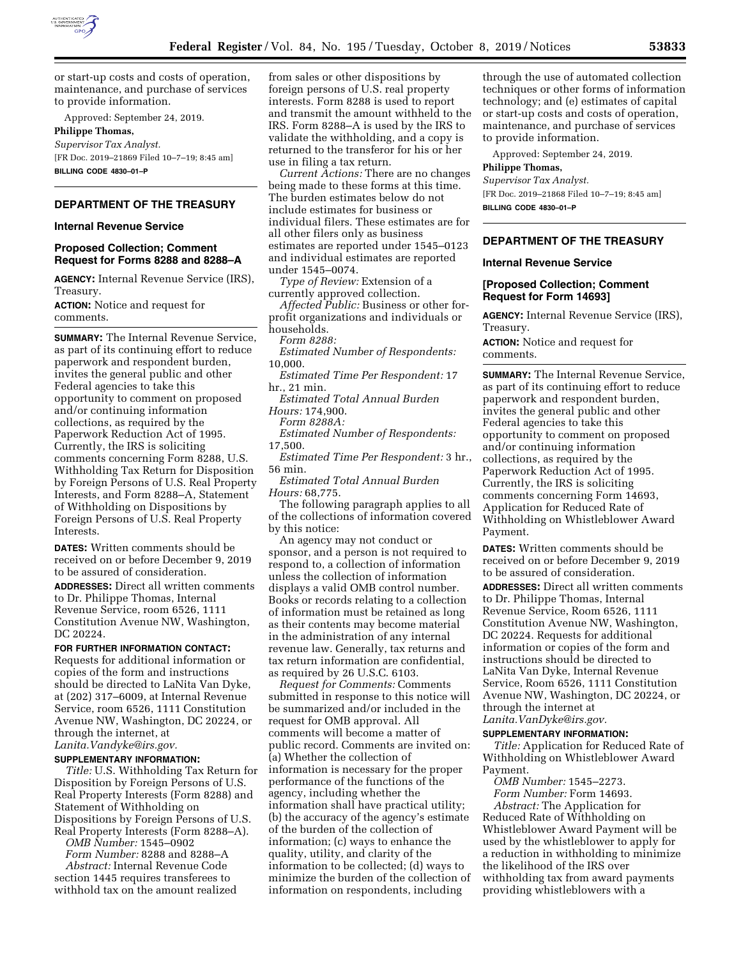

or start-up costs and costs of operation, maintenance, and purchase of services to provide information.

Approved: September 24, 2019.

# **Philippe Thomas,**

*Supervisor Tax Analyst.*  [FR Doc. 2019–21869 Filed 10–7–19; 8:45 am] **BILLING CODE 4830–01–P** 

# **DEPARTMENT OF THE TREASURY**

### **Internal Revenue Service**

### **Proposed Collection; Comment Request for Forms 8288 and 8288–A**

**AGENCY:** Internal Revenue Service (IRS), Treasury.

**ACTION:** Notice and request for comments.

**SUMMARY:** The Internal Revenue Service, as part of its continuing effort to reduce paperwork and respondent burden, invites the general public and other Federal agencies to take this opportunity to comment on proposed and/or continuing information collections, as required by the Paperwork Reduction Act of 1995. Currently, the IRS is soliciting comments concerning Form 8288, U.S. Withholding Tax Return for Disposition by Foreign Persons of U.S. Real Property Interests, and Form 8288–A, Statement of Withholding on Dispositions by Foreign Persons of U.S. Real Property Interests.

**DATES:** Written comments should be received on or before December 9, 2019 to be assured of consideration.

**ADDRESSES:** Direct all written comments to Dr. Philippe Thomas, Internal Revenue Service, room 6526, 1111 Constitution Avenue NW, Washington, DC 20224.

### **FOR FURTHER INFORMATION CONTACT:**

Requests for additional information or copies of the form and instructions should be directed to LaNita Van Dyke, at (202) 317–6009, at Internal Revenue Service, room 6526, 1111 Constitution Avenue NW, Washington, DC 20224, or through the internet, at *[Lanita.Vandyke@irs.gov.](mailto:Lanita.Vandyke@irs.gov)* 

### **SUPPLEMENTARY INFORMATION:**

*Title:* U.S. Withholding Tax Return for Disposition by Foreign Persons of U.S. Real Property Interests (Form 8288) and Statement of Withholding on Dispositions by Foreign Persons of U.S. Real Property Interests (Form 8288–A).

*OMB Number:* 1545–0902

*Form Number:* 8288 and 8288–A *Abstract:* Internal Revenue Code section 1445 requires transferees to withhold tax on the amount realized

from sales or other dispositions by foreign persons of U.S. real property interests. Form 8288 is used to report and transmit the amount withheld to the IRS. Form 8288–A is used by the IRS to validate the withholding, and a copy is returned to the transferor for his or her use in filing a tax return.

*Current Actions:* There are no changes being made to these forms at this time. The burden estimates below do not include estimates for business or individual filers. These estimates are for all other filers only as business estimates are reported under 1545–0123 and individual estimates are reported under 1545–0074.

*Type of Review:* Extension of a currently approved collection.

*Affected Public:* Business or other forprofit organizations and individuals or households.

*Form 8288:* 

*Estimated Number of Respondents:*  10,000.

*Estimated Time Per Respondent:* 17 hr., 21 min.

*Estimated Total Annual Burden Hours:* 174,900.

*Form 8288A:* 

*Estimated Number of Respondents:*  17,500.

*Estimated Time Per Respondent:* 3 hr., 56 min.

*Estimated Total Annual Burden Hours:* 68,775.

The following paragraph applies to all of the collections of information covered by this notice:

An agency may not conduct or sponsor, and a person is not required to respond to, a collection of information unless the collection of information displays a valid OMB control number. Books or records relating to a collection of information must be retained as long as their contents may become material in the administration of any internal revenue law. Generally, tax returns and tax return information are confidential, as required by 26 U.S.C. 6103.

*Request for Comments:* Comments submitted in response to this notice will be summarized and/or included in the request for OMB approval. All comments will become a matter of public record. Comments are invited on: (a) Whether the collection of information is necessary for the proper performance of the functions of the agency, including whether the information shall have practical utility; (b) the accuracy of the agency's estimate of the burden of the collection of information; (c) ways to enhance the quality, utility, and clarity of the information to be collected; (d) ways to minimize the burden of the collection of information on respondents, including

through the use of automated collection techniques or other forms of information technology; and (e) estimates of capital or start-up costs and costs of operation, maintenance, and purchase of services to provide information.

Approved: September 24, 2019.

### **Philippe Thomas,**

*Supervisor Tax Analyst.*  [FR Doc. 2019–21868 Filed 10–7–19; 8:45 am] **BILLING CODE 4830–01–P** 

# **DEPARTMENT OF THE TREASURY**

### **Internal Revenue Service**

## **[Proposed Collection; Comment Request for Form 14693]**

**AGENCY:** Internal Revenue Service (IRS), Treasury.

**ACTION:** Notice and request for comments.

**SUMMARY:** The Internal Revenue Service, as part of its continuing effort to reduce paperwork and respondent burden, invites the general public and other Federal agencies to take this opportunity to comment on proposed and/or continuing information collections, as required by the Paperwork Reduction Act of 1995. Currently, the IRS is soliciting comments concerning Form 14693, Application for Reduced Rate of Withholding on Whistleblower Award Payment.

**DATES:** Written comments should be received on or before December 9, 2019 to be assured of consideration.

**ADDRESSES:** Direct all written comments to Dr. Philippe Thomas, Internal Revenue Service, Room 6526, 1111 Constitution Avenue NW, Washington, DC 20224. Requests for additional information or copies of the form and instructions should be directed to LaNita Van Dyke, Internal Revenue Service, Room 6526, 1111 Constitution Avenue NW, Washington, DC 20224, or through the internet at *[Lanita.VanDyke@irs.gov.](mailto:Lanita.VanDyke@irs.gov)* 

# **SUPPLEMENTARY INFORMATION:**

*Title:* Application for Reduced Rate of Withholding on Whistleblower Award Payment.

*OMB Number:* 1545–2273.

*Form Number:* Form 14693. *Abstract:* The Application for Reduced Rate of Withholding on Whistleblower Award Payment will be used by the whistleblower to apply for a reduction in withholding to minimize the likelihood of the IRS over withholding tax from award payments providing whistleblowers with a